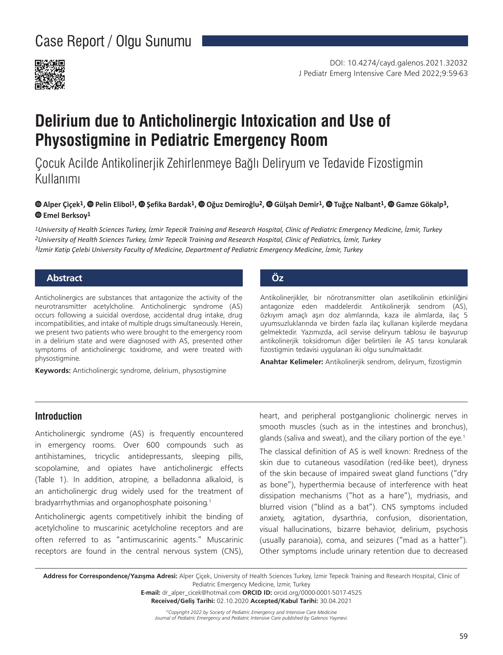

# **Delirium due to Anticholinergic Intoxication and Use of Physostigmine in Pediatric Emergency Room**

Çocuk Acilde Antikolinerjik Zehirlenmeye Bağlı Deliryum ve Tedavide Fizostigmin Kullanımı

#### $\bullet$ Alper Çiçek<sup>1</sup>,  $\bullet$  Pelin Elibol<sup>1</sup>,  $\bullet$  Şefika Bardak<sup>1</sup>,  $\bullet$  Oğuz Demiroğlu<sup>2</sup>,  $\bullet$  Gülşah Demir<sup>1</sup>,  $\bullet$  Tuğçe Nalbant<sup>1</sup>,  $\bullet$  Gamze Gökalp<sup>3</sup>, **Emel Berksoy1**

*1University of Health Sciences Turkey, İzmir Tepecik Training and Research Hospital, Clinic of Pediatric Emergency Medicine, İzmir, Turkey 2University of Health Sciences Turkey, İzmir Tepecik Training and Research Hospital, Clinic of Pediatrics, İzmir, Turkey 3İzmir Katip Çelebi University Faculty of Medicine, Department of Pediatric Emergency Medicine, İzmir, Turkey*

### **Abstract Öz**

Anticholinergics are substances that antagonize the activity of the neurotransmitter acetylcholine. Anticholinergic syndrome (AS) occurs following a suicidal overdose, accidental drug intake, drug incompatibilities, and intake of multiple drugs simultaneously. Herein, we present two patients who were brought to the emergency room in a delirium state and were diagnosed with AS, presented other symptoms of anticholinergic toxidrome, and were treated with physostigmine.

**Keywords:** Anticholinergic syndrome, delirium, physostigmine

Antikolinerjikler, bir nörotransmitter olan asetilkolinin etkinliğini antagonize eden maddelerdir. Antikolinerjik sendrom (AS), özkıyım amaçlı aşırı doz alımlarında, kaza ile alımlarda, ilaç 5 uyumsuzluklarında ve birden fazla ilaç kullanan kişilerde meydana gelmektedir. Yazımızda, acil servise deliryum tablosu ile başvurup antikolinerijk toksidromun diğer belirtileri ile AS tanısı konularak fizostigmin tedavisi uygulanan iki olgu sunulmaktadır.

**Anahtar Kelimeler:** Antikolinerjik sendrom, deliryum, fizostigmin

### **Introduction**

Anticholinergic syndrome (AS) is frequently encountered in emergency rooms. Over 600 compounds such as antihistamines, tricyclic antidepressants, sleeping pills, scopolamine, and opiates have anticholinergic effects (Table 1). In addition, atropine, a belladonna alkaloid, is an anticholinergic drug widely used for the treatment of bradyarrhythmias and organophosphate poisoning.<sup>1</sup>

Anticholinergic agents competitively inhibit the binding of acetylcholine to muscarinic acetylcholine receptors and are often referred to as "antimuscarinic agents." Muscarinic receptors are found in the central nervous system (CNS), heart, and peripheral postganglionic cholinergic nerves in smooth muscles (such as in the intestines and bronchus), glands (saliva and sweat), and the ciliary portion of the eye.<sup>1</sup>

The classical definition of AS is well known: Rredness of the skin due to cutaneous vasodilation (red-like beet), dryness of the skin because of impaired sweat gland functions ("dry as bone"), hyperthermia because of interference with heat dissipation mechanisms ("hot as a hare"), mydriasis, and blurred vision ("blind as a bat"). CNS symptoms included anxiety, agitation, dysarthria, confusion, disorientation, visual hallucinations, bizarre behavior, delirium, psychosis (usually paranoia), coma, and seizures ("mad as a hatter"). Other symptoms include urinary retention due to decreased

**Address for Correspondence/Yazışma Adresi:** Alper Çiçek, University of Health Sciences Turkey, İzmir Tepecik Training and Research Hospital, Clinic of Pediatric Emergency Medicine, İzmir, Turkey

**E-mail:** dr\_alper\_cicek@hotmail.com **ORCID ID:** orcid.org/0000-0001-5017-4525

**Received/Geliş Tarihi:** 02.10.2020 **Accepted/Kabul Tarihi:** 30.04.2021

*©Copyright 2022 by Society of Pediatric Emergency and Intensive Care Medicine Journal of Pediatric Emergency and Pediatric Intensive Care published by Galenos Yayınevi.*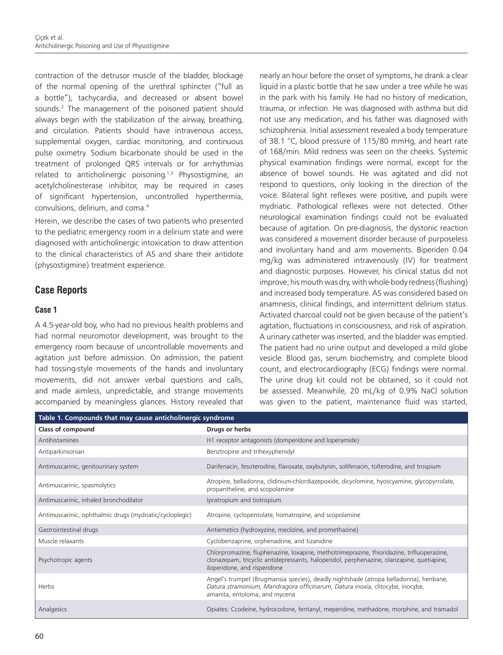contraction of the detrusor muscle of the bladder, blockage of the normal opening of the urethral sphincter ("full as a bottle"), tachycardia, and decreased or absent bowel sounds.<sup>2</sup> The management of the poisoned patient should always begin with the stabilization of the airway, breathing, and circulation. Patients should have intravenous access, supplemental oxygen, cardiac monitoring, and continuous pulse oximetry. Sodium bicarbonate should be used in the treatment of prolonged QRS intervals or for arrhythmias related to anticholinergic poisoning.<sup>1,3</sup> Physostigmine, an acetylcholinesterase inhibitor, may be required in cases of significant hypertension, uncontrolled hyperthermia, convulsions, delirium, and coma.<sup>4</sup>

Herein, we describe the cases of two patients who presented to the pediatric emergency room in a delirium state and were diagnosed with anticholinergic intoxication to draw attention to the clinical characteristics of AS and share their antidote (physostigmine) treatment experience.

# **Case Reports**

#### **Case 1**

A 4.5-year-old boy, who had no previous health problems and had normal neuromotor development, was brought to the emergency room because of uncontrollable movements and agitation just before admission. On admission, the patient had tossing-style movements of the hands and involuntary movements, did not answer verbal questions and calls, and made aimless, unpredictable, and strange movements accompanied by meaningless glances. History revealed that

nearly an hour before the onset of symptoms, he drank a clear liquid in a plastic bottle that he saw under a tree while he was in the park with his family. He had no history of medication, trauma, or infection. He was diagnosed with asthma but did not use any medication, and his father was diagnosed with schizophrenia. Initial assessment revealed a body temperature of 38.1 °C, blood pressure of 115/80 mmHg, and heart rate of 168/min. Mild redness was seen on the cheeks. Systemic physical examination findings were normal, except for the absence of bowel sounds. He was agitated and did not respond to questions, only looking in the direction of the voice. Bilateral light reflexes were positive, and pupils were mydriatic. Pathological reflexes were not detected. Other neurological examination findings could not be evaluated because of agitation. On pre-diagnosis, the dystonic reaction was considered a movement disorder because of purposeless and involuntary hand and arm movements. Biperiden 0.04 mg/kg was administered intravenously (IV) for treatment and diagnostic purposes. However, his clinical status did not improve; his mouth was dry, with whole-body redness (flushing) and increased body temperature. AS was considered based on anamnesis, clinical findings, and intermittent delirium status. Activated charcoal could not be given because of the patient's agitation, fluctuations in consciousness, and risk of aspiration. A urinary catheter was inserted, and the bladder was emptied. The patient had no urine output and developed a mild globe vesicle. Blood gas, serum biochemistry, and complete blood count, and electrocardiography (ECG) findings were normal. The urine drug kit could not be obtained, so it could not be assessed. Meanwhile, 20 mL/kg of 0.9% NaCl solution was given to the patient, maintenance fluid was started,

| Table 1. Compounds that may cause anticholinergic syndrome |                                                                                                                                                                                                                        |
|------------------------------------------------------------|------------------------------------------------------------------------------------------------------------------------------------------------------------------------------------------------------------------------|
| Class of compound                                          | Drugs or herbs                                                                                                                                                                                                         |
| Antihistamines                                             | H1 receptor antagonists (domperidone and loperamide)                                                                                                                                                                   |
| Antiparkinsonian                                           | Benztropine and trihexyphenidyl                                                                                                                                                                                        |
| Antimuscarinic, genitourinary system                       | Darifenacin, fesoterodine, flavoxate, oxybutynin, solifenacin, tolterodine, and trospium                                                                                                                               |
| Antimuscarinic, spasmolytics                               | Atropine, belladonna, clidinium-chlordiazepoxide, dicyclomine, hyoscyamine, glycopyrrolate,<br>propantheline, and scopolamine                                                                                          |
| Antimuscarinic, inhaled bronchodilator                     | Ipratropium and tiotropium                                                                                                                                                                                             |
| Antimuscarinic, ophthalmic drugs (mydriatic/cycloplegic)   | Atropine, cyclopentolate, homatropine, and scopolamine                                                                                                                                                                 |
| Gastrointestinal drugs                                     | Antiemetics (hydroxyzine, meclizine, and promethazine)                                                                                                                                                                 |
| Muscle relaxants                                           | Cyclobenzaprine, orphenadrine, and tizanidine                                                                                                                                                                          |
| Psychotropic agents                                        | Chlorpromazine, fluphenazine, loxapine, methotrimeprazine, thioridazine, trifluoperazine,<br>clonazepam, tricyclic antidepressants, haloperidol, perphenazine, olanzapine, quetiapine,<br>iloperidone, and risperidone |
| Herbs                                                      | Angel's trumpet (Brugmansia species), deadly nightshade (atropa belladonna), henbane,<br>Datura stramonium, Mandragora officinarum, Datura inoxia, clitocybe, inocybe,<br>amanita, entoloma, and mycena                |
| Analgesics                                                 | Opiates: Ccodeine, hydrocodone, fentanyl, meperidine, methadone, morphine, and tramadol                                                                                                                                |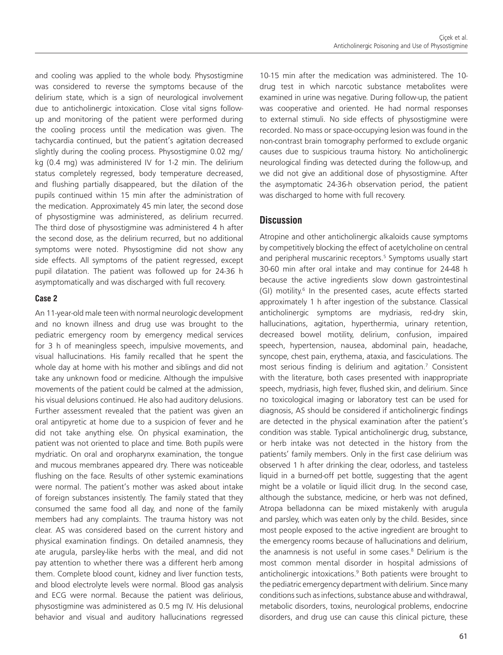and cooling was applied to the whole body. Physostigmine was considered to reverse the symptoms because of the delirium state, which is a sign of neurological involvement due to anticholinergic intoxication. Close vital signs followup and monitoring of the patient were performed during the cooling process until the medication was given. The tachycardia continued, but the patient's agitation decreased slightly during the cooling process. Physostigmine 0.02 mg/ kg (0.4 mg) was administered IV for 1-2 min. The delirium status completely regressed, body temperature decreased, and flushing partially disappeared, but the dilation of the pupils continued within 15 min after the administration of the medication. Approximately 45 min later, the second dose of physostigmine was administered, as delirium recurred. The third dose of physostigmine was administered 4 h after the second dose, as the delirium recurred, but no additional symptoms were noted. Physostigmine did not show any side effects. All symptoms of the patient regressed, except pupil dilatation. The patient was followed up for 24-36 h asymptomatically and was discharged with full recovery.

#### **Case 2**

An 11-year-old male teen with normal neurologic development and no known illness and drug use was brought to the pediatric emergency room by emergency medical services for 3 h of meaningless speech, impulsive movements, and visual hallucinations. His family recalled that he spent the whole day at home with his mother and siblings and did not take any unknown food or medicine. Although the impulsive movements of the patient could be calmed at the admission, his visual delusions continued. He also had auditory delusions. Further assessment revealed that the patient was given an oral antipyretic at home due to a suspicion of fever and he did not take anything else. On physical examination, the patient was not oriented to place and time. Both pupils were mydriatic. On oral and oropharynx examination, the tongue and mucous membranes appeared dry. There was noticeable flushing on the face. Results of other systemic examinations were normal. The patient's mother was asked about intake of foreign substances insistently. The family stated that they consumed the same food all day, and none of the family members had any complaints. The trauma history was not clear. AS was considered based on the current history and physical examination findings. On detailed anamnesis, they ate arugula, parsley-like herbs with the meal, and did not pay attention to whether there was a different herb among them. Complete blood count, kidney and liver function tests, and blood electrolyte levels were normal. Blood gas analysis and ECG were normal. Because the patient was delirious, physostigmine was administered as 0.5 mg IV. His delusional behavior and visual and auditory hallucinations regressed

10-15 min after the medication was administered. The 10 drug test in which narcotic substance metabolites were examined in urine was negative. During follow-up, the patient was cooperative and oriented. He had normal responses to external stimuli. No side effects of physostigmine were recorded. No mass or space-occupying lesion was found in the non-contrast brain tomography performed to exclude organic causes due to suspicious trauma history. No anticholinergic neurological finding was detected during the follow-up, and we did not give an additional dose of physostigmine. After the asymptomatic 24-36-h observation period, the patient was discharged to home with full recovery.

## **Discussion**

Atropine and other anticholinergic alkaloids cause symptoms by competitively blocking the effect of acetylcholine on central and peripheral muscarinic receptors.<sup>5</sup> Symptoms usually start 30-60 min after oral intake and may continue for 24-48 h because the active ingredients slow down gastrointestinal (GI) motility.<sup>6</sup> In the presented cases, acute effects started approximately 1 h after ingestion of the substance. Classical anticholinergic symptoms are mydriasis, red-dry skin, hallucinations, agitation, hyperthermia, urinary retention, decreased bowel motility, delirium, confusion, impaired speech, hypertension, nausea, abdominal pain, headache, syncope, chest pain, erythema, ataxia, and fasciculations. The most serious finding is delirium and agitation.7 Consistent with the literature, both cases presented with inappropriate speech, mydriasis, high fever, flushed skin, and delirium. Since no toxicological imaging or laboratory test can be used for diagnosis, AS should be considered if anticholinergic findings are detected in the physical examination after the patient's condition was stable. Typical anticholinergic drug, substance, or herb intake was not detected in the history from the patients' family members. Only in the first case delirium was observed 1 h after drinking the clear, odorless, and tasteless liquid in a burned-off pet bottle, suggesting that the agent might be a volatile or liquid illicit drug. In the second case, although the substance, medicine, or herb was not defined, Atropa belladonna can be mixed mistakenly with arugula and parsley, which was eaten only by the child. Besides, since most people exposed to the active ingredient are brought to the emergency rooms because of hallucinations and delirium, the anamnesis is not useful in some cases.<sup>8</sup> Delirium is the most common mental disorder in hospital admissions of anticholinergic intoxications.<sup>9</sup> Both patients were brought to the pediatric emergency department with delirium. Since many conditions such as infections, substance abuse and withdrawal, metabolic disorders, toxins, neurological problems, endocrine disorders, and drug use can cause this clinical picture, these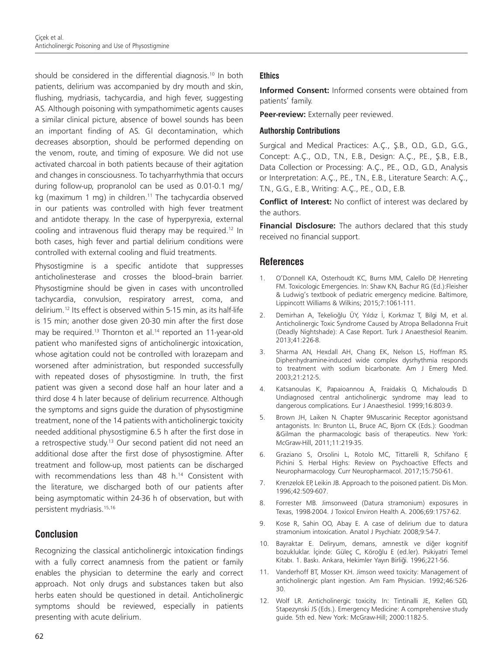should be considered in the differential diagnosis.<sup>10</sup> In both patients, delirium was accompanied by dry mouth and skin, flushing, mydriasis, tachycardia, and high fever, suggesting AS. Although poisoning with sympathomimetic agents causes a similar clinical picture, absence of bowel sounds has been an important finding of AS. GI decontamination, which decreases absorption, should be performed depending on the venom, route, and timing of exposure. We did not use activated charcoal in both patients because of their agitation and changes in consciousness. To tachyarrhythmia that occurs during follow-up, propranolol can be used as 0.01-0.1 mg/ kg (maximum 1 mg) in children.<sup>11</sup> The tachycardia observed in our patients was controlled with high fever treatment and antidote therapy. In the case of hyperpyrexia, external cooling and intravenous fluid therapy may be required.12 In both cases, high fever and partial delirium conditions were controlled with external cooling and fluid treatments.

Physostigmine is a specific antidote that suppresses anticholinesterase and crosses the blood-brain barrier. Physostigmine should be given in cases with uncontrolled tachycardia, convulsion, respiratory arrest, coma, and delirium.12 Its effect is observed within 5-15 min, as its half-life is 15 min; another dose given 20-30 min after the first dose may be required.<sup>13</sup> Thornton et al.<sup>14</sup> reported an 11-year-old patient who manifested signs of anticholinergic intoxication, whose agitation could not be controlled with lorazepam and worsened after administration, but responded successfully with repeated doses of physostigmine. In truth, the first patient was given a second dose half an hour later and a third dose 4 h later because of delirium recurrence. Although the symptoms and signs guide the duration of physostigmine treatment, none of the 14 patients with anticholinergic toxicity needed additional physostigmine 6.5 h after the first dose in a retrospective study.<sup>13</sup> Our second patient did not need an additional dose after the first dose of physostigmine. After treatment and follow-up, most patients can be discharged with recommendations less than 48 h.<sup>14</sup> Consistent with the literature, we discharged both of our patients after being asymptomatic within 24-36 h of observation, but with persistent mydriasis.15,16

# **Conclusion**

Recognizing the classical anticholinergic intoxication findings with a fully correct anamnesis from the patient or family enables the physician to determine the early and correct approach. Not only drugs and substances taken but also herbs eaten should be questioned in detail. Anticholinergic symptoms should be reviewed, especially in patients presenting with acute delirium.

#### **Ethics**

**Informed Consent:** Informed consents were obtained from patients' family.

Peer-review: Externally peer reviewed.

#### **Authorship Contributions**

Surgical and Medical Practices: A.Ç., Ş.B., O.D., G.D., G.G., Concept: A.Ç., O.D., T.N., E.B., Design: A.Ç., P.E., Ş.B., E.B., Data Collection or Processing: A.Ç., P.E., O.D., G.D., Analysis or Interpretation: A.Ç., P.E., T.N., E.B., Literature Search: A.Ç., T.N., G.G., E.B., Writing: A.Ç., P.E., O.D., E.B.

**Conflict of Interest:** No conflict of interest was declared by the authors.

**Financial Disclosure:** The authors declared that this study received no financial support.

# **References**

- 1. O'Donnell KA, Osterhoudt KC, Burns MM, Calello DP, Henreting FM. Toxicologic Emergencies. In: Shaw KN, Bachur RG (Ed.):Fleisher & Ludwig's textbook of pediatric emergency medicine. Baltimore, Lippincott Williams & Wilkins; 2015;7:1061-111.
- 2. Demirhan A, Tekelioğlu ÜY, Yıldız İ, Korkmaz T, Bilgi M, et al. Anticholinergic Toxic Syndrome Caused by Atropa Belladonna Fruit (Deadly Nightshade): A Case Report. Turk J Anaesthesiol Reanim. 2013;41:226-8.
- 3. Sharma AN, Hexdall AH, Chang EK, Nelson LS, Hoffman RS. Diphenhydramine-induced wide complex dysrhythmia responds to treatment with sodium bicarbonate. Am J Emerg Med. 2003;21:212-5.
- 4. Katsanoulas K, Papaioannou A, Fraidakis O, Michaloudis D. Undiagnosed central anticholinergic syndrome may lead to dangerous complications. Eur J Anaesthesiol. 1999;16:803-9.
- 5. Brown JH, Laiken N. Chapter 9Muscarinic Receptor agonistsand antagonists. In: Brunton LL, Bruce AC, Bjorn CK (Eds.): Goodman &Gilman the pharmacologic basis of therapeutics. New York: McGraw-Hill, 2011;11:219-35.
- 6. Graziano S, Orsolini L, Rotolo MC, Tittarelli R, Schifano F, Pichini S. Herbal Highs: Review on Psychoactive Effects and Neuropharmacology. Curr Neuropharmacol. 2017;15:750-61.
- 7. Krenzelok EP, Leikin JB. Approach to the poisoned patient. Dis Mon. 1996;42:509-607.
- 8. Forrester MB. Jimsonweed (Datura stramonium) exposures in Texas, 1998-2004. J Toxicol Environ Health A. 2006;69:1757-62.
- 9. Kose R, Sahin OO, Abay E. A case of delirium due to datura stramonium intoxication. Anatol J Psychiatr. 2008;9:54-7.
- 10. Bayraktar E. Deliryum, demans, amnestik ve diğer kognitif bozukluklar. İçinde: Güleç C, Köroğlu E (ed.ler). Psikiyatri Temel Kitabı. 1. Baskı. Ankara, Hekimler Yayın Birliği. 1996;221-56.
- 11. Vanderhoff BT, Mosser KH. Jimson weed toxicity: Management of anticholinergic plant ingestion. Am Fam Physician. 1992;46:526- 30.
- 12. Wolf LR. Anticholinergic toxicity. In: Tintinalli JE, Kellen GD, Stapezynski JS (Eds.). Emergency Medicine: A comprehensive study guide. 5th ed. New York: McGraw-Hill; 2000:1182-5.